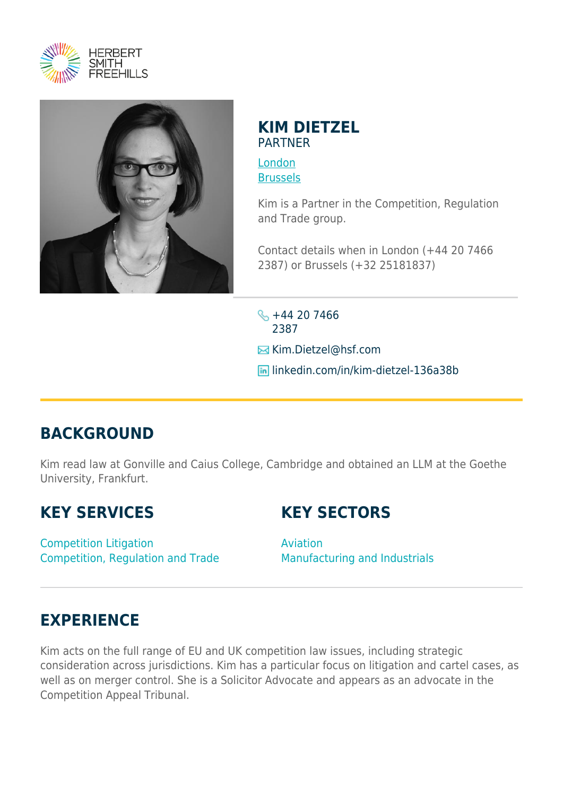



## **KIM DIETZEL** PARTNER

[London](https://www.herbertsmithfreehills.com/lang-ru/where-we-work/london) [Brussels](https://www.herbertsmithfreehills.com/lang-ru/where-we-work/brussels)

Kim is a Partner in the Competition, Regulation and Trade group.

Contact details when in London (+44 20 7466 2387) or Brussels (+32 25181837)

 $\frac{1}{2}$  +44 20 7466 2387 **E** Kim.Dietzel@hsf.com linkedin.com/in/kim-dietzel-136a38b

# **BACKGROUND**

Kim read law at Gonville and Caius College, Cambridge and obtained an LLM at the Goethe University, Frankfurt.

# **KEY SERVICES**

# **KEY SECTORS**

Competition Litigation Competition, Regulation and Trade Aviation Manufacturing and Industrials

# **EXPERIENCE**

Kim acts on the full range of EU and UK competition law issues, including strategic consideration across jurisdictions. Kim has a particular focus on litigation and cartel cases, as well as on merger control. She is a Solicitor Advocate and appears as an advocate in the Competition Appeal Tribunal.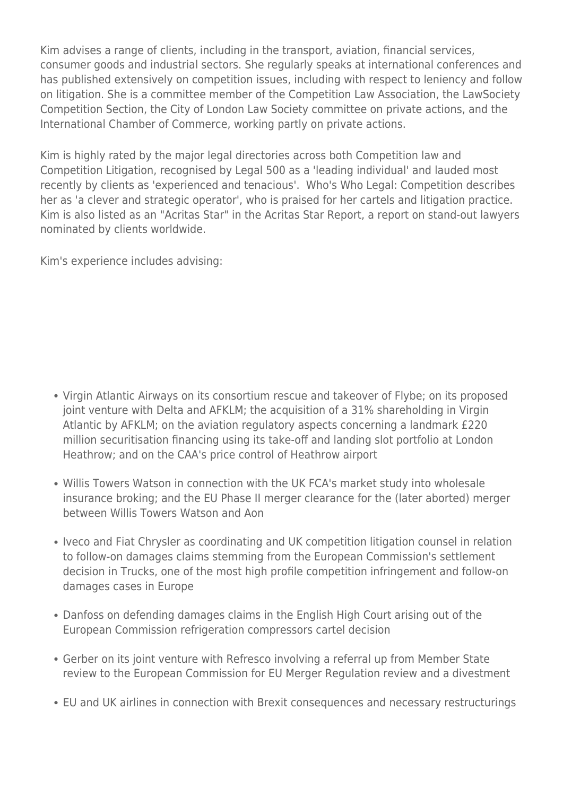Kim advises a range of clients, including in the transport, aviation, financial services, consumer goods and industrial sectors. She regularly speaks at international conferences and has published extensively on competition issues, including with respect to leniency and follow on litigation. She is a committee member of the Competition Law Association, the LawSociety Competition Section, the City of London Law Society committee on private actions, and the International Chamber of Commerce, working partly on private actions.

Kim is highly rated by the major legal directories across both Competition law and Competition Litigation, recognised by Legal 500 as a 'leading individual' and lauded most recently by clients as 'experienced and tenacious'. Who's Who Legal: Competition describes her as 'a clever and strategic operator', who is praised for her cartels and litigation practice. Kim is also listed as an "Acritas Star" in the Acritas Star Report, a report on stand-out lawyers nominated by clients worldwide.

Kim's experience includes advising:

- Virgin Atlantic Airways on its consortium rescue and takeover of Flybe; on its proposed joint venture with Delta and AFKLM; the acquisition of a 31% shareholding in Virgin Atlantic by AFKLM; on the aviation regulatory aspects concerning a landmark £220 million securitisation financing using its take-off and landing slot portfolio at London Heathrow; and on the CAA's price control of Heathrow airport
- Willis Towers Watson in connection with the UK FCA's market study into wholesale insurance broking; and the EU Phase II merger clearance for the (later aborted) merger between Willis Towers Watson and Aon
- Iveco and Fiat Chrysler as coordinating and UK competition litigation counsel in relation to follow-on damages claims stemming from the European Commission's settlement decision in Trucks, one of the most high profile competition infringement and follow-on damages cases in Europe
- Danfoss on defending damages claims in the English High Court arising out of the European Commission refrigeration compressors cartel decision
- Gerber on its joint venture with Refresco involving a referral up from Member State review to the European Commission for EU Merger Regulation review and a divestment
- EU and UK airlines in connection with Brexit consequences and necessary restructurings